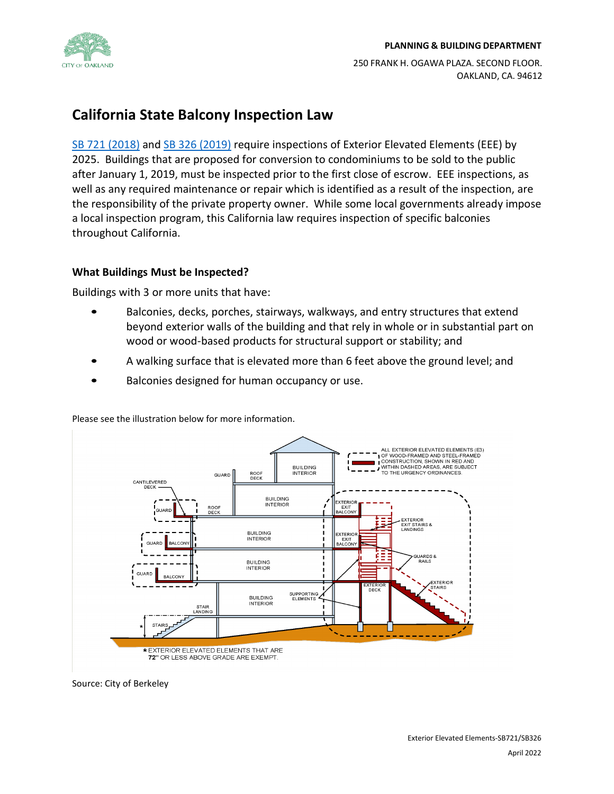

250 FRANK H. OGAWA PLAZA. SECOND FLOOR. OAKLAND, CA. 94612

# **California State Balcony Inspection Law**

SB 721 [\(2018\)](https://leginfo.legislature.ca.gov/faces/billNavClient.xhtml?bill_id=201720180SB721) and SB 326 [\(2019\)](https://leginfo.legislature.ca.gov/faces/billNavClient.xhtml?bill_id=201920200SB326) require inspections of Exterior Elevated Elements (EEE) by 2025. Buildings that are proposed for conversion to condominiums to be sold to the public after January 1, 2019, must be inspected prior to the first close of escrow. EEE inspections, as well as any required maintenance or repair which is identified as a result of the inspection, are the responsibility of the private property owner. While some local governments already impose a local inspection program, this California law requires inspection of specific balconies throughout California.

# **What Buildings Must be Inspected?**

Buildings with 3 or more units that have:

- Balconies, decks, porches, stairways, walkways, and entry structures that extend beyond exterior walls of the building and that rely in whole or in substantial part on wood or wood-based products for structural support or stability; and
- A walking surface that is elevated more than 6 feet above the ground level; and
- Balconies designed for human occupancy or use.

Please see the illustration below for more information.



Source: City of Berkeley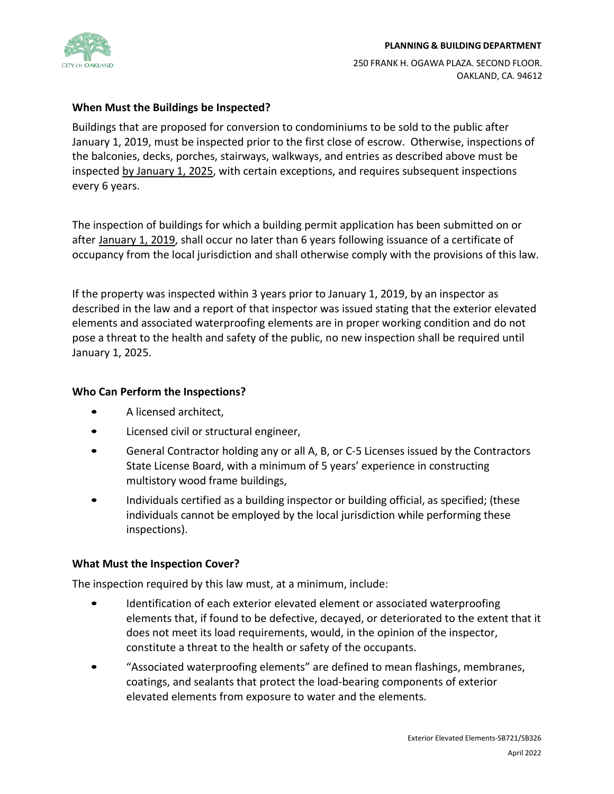

#### **PLANNING & BUILDING DEPARTMENT**

250 FRANK H. OGAWA PLAZA. SECOND FLOOR. OAKLAND, CA. 94612

## **When Must the Buildings be Inspected?**

Buildings that are proposed for conversion to condominiums to be sold to the public after January 1, 2019, must be inspected prior to the first close of escrow. Otherwise, inspections of the balconies, decks, porches, stairways, walkways, and entries as described above must be inspected by January 1, 2025, with certain exceptions, and requires subsequent inspections every 6 years.

The inspection of buildings for which a building permit application has been submitted on or after January 1, 2019, shall occur no later than 6 years following issuance of a certificate of occupancy from the local jurisdiction and shall otherwise comply with the provisions of this law.

If the property was inspected within 3 years prior to January 1, 2019, by an inspector as described in the law and a report of that inspector was issued stating that the exterior elevated elements and associated waterproofing elements are in proper working condition and do not pose a threat to the health and safety of the public, no new inspection shall be required until January 1, 2025.

### **Who Can Perform the Inspections?**

- A licensed architect,
- Licensed civil or structural engineer,
- General Contractor holding any or all A, B, or C-5 Licenses issued by the Contractors State License Board, with a minimum of 5 years' experience in constructing multistory wood frame buildings,
- Individuals certified as a building inspector or building official, as specified; (these individuals cannot be employed by the local jurisdiction while performing these inspections).

## **What Must the Inspection Cover?**

The inspection required by this law must, at a minimum, include:

- Identification of each exterior elevated element or associated waterproofing elements that, if found to be defective, decayed, or deteriorated to the extent that it does not meet its load requirements, would, in the opinion of the inspector, constitute a threat to the health or safety of the occupants.
- "Associated waterproofing elements" are defined to mean flashings, membranes, coatings, and sealants that protect the load-bearing components of exterior elevated elements from exposure to water and the elements.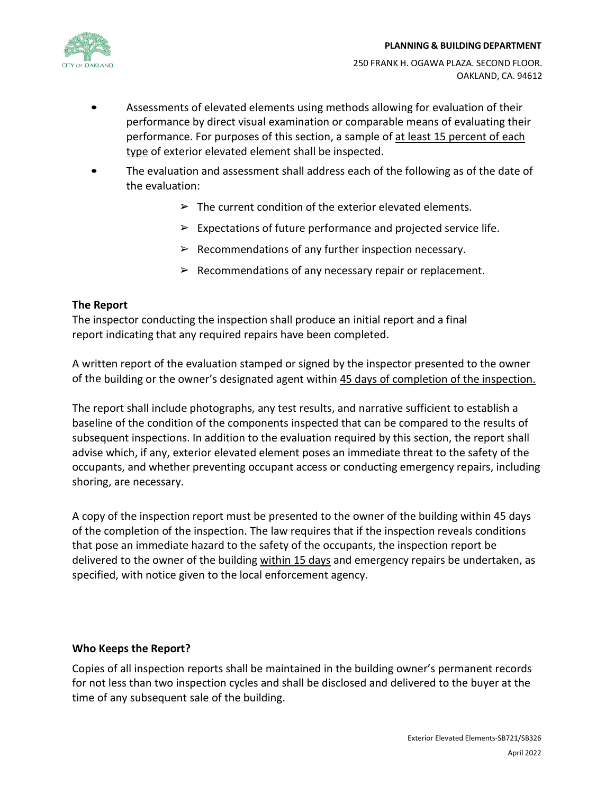

#### **PLANNING & BUILDING DEPARTMENT**

- Assessments of elevated elements using methods allowing for evaluation of their performance by direct visual examination or comparable means of evaluating their performance. For purposes of this section, a sample of at least 15 percent of each type of exterior elevated element shall be inspected.
- The evaluation and assessment shall address each of the following as of the date of the evaluation:
	- $\triangleright$  The current condition of the exterior elevated elements.
	- $\triangleright$  Expectations of future performance and projected service life.
	- $\triangleright$  Recommendations of any further inspection necessary.
	- $\triangleright$  Recommendations of any necessary repair or replacement.

## **The Report**

The inspector conducting the inspection shall produce an initial report and a final report indicating that any required repairs have been completed.

A written report of the evaluation stamped or signed by the inspector presented to the owner of the building or the owner's designated agent within 45 days of completion of the inspection.

The report shall include photographs, any test results, and narrative sufficient to establish a baseline of the condition of the components inspected that can be compared to the results of subsequent inspections. In addition to the evaluation required by this section, the report shall advise which, if any, exterior elevated element poses an immediate threat to the safety of the occupants, and whether preventing occupant access or conducting emergency repairs, including shoring, are necessary.

A copy of the inspection report must be presented to the owner of the building within 45 days of the completion of the inspection. The law requires that if the inspection reveals conditions that pose an immediate hazard to the safety of the occupants, the inspection report be delivered to the owner of the building within 15 days and emergency repairs be undertaken, as specified, with notice given to the local enforcement agency.

## **Who Keeps the Report?**

Copies of all inspection reports shall be maintained in the building owner's permanent records for not less than two inspection cycles and shall be disclosed and delivered to the buyer at the time of any subsequent sale of the building.